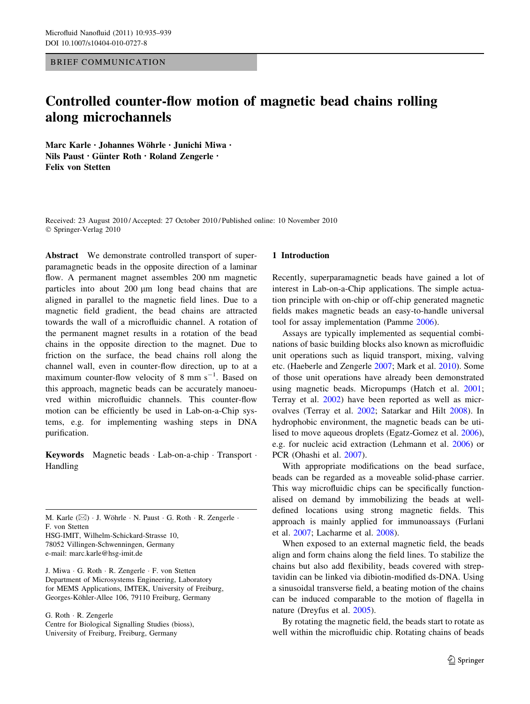# BRIEF COMMUNICATION

# Controlled counter-flow motion of magnetic bead chains rolling along microchannels

Marc Karle · Johannes Wöhrle · Junichi Miwa · Nils Paust • Günter Roth • Roland Zengerle • Felix von Stetten

Received: 23 August 2010 / Accepted: 27 October 2010 / Published online: 10 November 2010 © Springer-Verlag 2010

Abstract We demonstrate controlled transport of superparamagnetic beads in the opposite direction of a laminar flow. A permanent magnet assembles 200 nm magnetic particles into about  $200 \mu m$  long bead chains that are aligned in parallel to the magnetic field lines. Due to a magnetic field gradient, the bead chains are attracted towards the wall of a microfluidic channel. A rotation of the permanent magnet results in a rotation of the bead chains in the opposite direction to the magnet. Due to friction on the surface, the bead chains roll along the channel wall, even in counter-flow direction, up to at a maximum counter-flow velocity of  $8 \text{ mm s}^{-1}$ . Based on this approach, magnetic beads can be accurately manoeuvred within microfluidic channels. This counter-flow motion can be efficiently be used in Lab-on-a-Chip systems, e.g. for implementing washing steps in DNA purification.

Keywords Magnetic beads - Lab-on-a-chip - Transport - Handling

M. Karle  $(\boxtimes)$  · J. Wöhrle · N. Paust · G. Roth · R. Zengerle · F. von Stetten HSG-IMIT, Wilhelm-Schickard-Strasse 10,

78052 Villingen-Schwenningen, Germany

e-mail: marc.karle@hsg-imit.de

J. Miwa - G. Roth - R. Zengerle - F. von Stetten Department of Microsystems Engineering, Laboratory for MEMS Applications, IMTEK, University of Freiburg, Georges-Köhler-Allee 106, 79110 Freiburg, Germany

G. Roth - R. Zengerle

Centre for Biological Signalling Studies (bioss), University of Freiburg, Freiburg, Germany

#### 1 Introduction

Recently, superparamagnetic beads have gained a lot of interest in Lab-on-a-Chip applications. The simple actuation principle with on-chip or off-chip generated magnetic fields makes magnetic beads an easy-to-handle universal tool for assay implementation (Pamme [2006\)](#page-4-0).

Assays are typically implemented as sequential combinations of basic building blocks also known as microfluidic unit operations such as liquid transport, mixing, valving etc. (Haeberle and Zengerle [2007;](#page-4-0) Mark et al. [2010\)](#page-4-0). Some of those unit operations have already been demonstrated using magnetic beads. Micropumps (Hatch et al. [2001](#page-4-0); Terray et al. [2002](#page-4-0)) have been reported as well as microvalves (Terray et al. [2002;](#page-4-0) Satarkar and Hilt [2008\)](#page-4-0). In hydrophobic environment, the magnetic beads can be utilised to move aqueous droplets (Egatz-Gomez et al. [2006](#page-4-0)), e.g. for nucleic acid extraction (Lehmann et al. [2006\)](#page-4-0) or PCR (Ohashi et al. [2007\)](#page-4-0).

With appropriate modifications on the bead surface, beads can be regarded as a moveable solid-phase carrier. This way microfluidic chips can be specifically functionalised on demand by immobilizing the beads at welldefined locations using strong magnetic fields. This approach is mainly applied for immunoassays (Furlani et al. [2007;](#page-4-0) Lacharme et al. [2008](#page-4-0)).

When exposed to an external magnetic field, the beads align and form chains along the field lines. To stabilize the chains but also add flexibility, beads covered with streptavidin can be linked via dibiotin-modified ds-DNA. Using a sinusoidal transverse field, a beating motion of the chains can be induced comparable to the motion of flagella in nature (Dreyfus et al. [2005\)](#page-4-0).

By rotating the magnetic field, the beads start to rotate as well within the microfluidic chip. Rotating chains of beads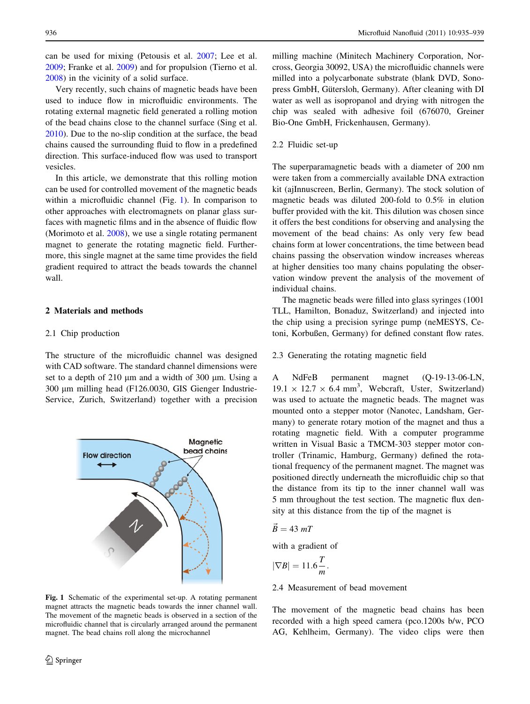can be used for mixing (Petousis et al. [2007](#page-4-0); Lee et al. [2009;](#page-4-0) Franke et al. [2009](#page-4-0)) and for propulsion (Tierno et al. [2008\)](#page-4-0) in the vicinity of a solid surface.

Very recently, such chains of magnetic beads have been used to induce flow in microfluidic environments. The rotating external magnetic field generated a rolling motion of the bead chains close to the channel surface (Sing et al. [2010\)](#page-4-0). Due to the no-slip condition at the surface, the bead chains caused the surrounding fluid to flow in a predefined direction. This surface-induced flow was used to transport vesicles.

In this article, we demonstrate that this rolling motion can be used for controlled movement of the magnetic beads within a microfluidic channel (Fig. 1). In comparison to other approaches with electromagnets on planar glass surfaces with magnetic films and in the absence of fluidic flow (Morimoto et al. [2008](#page-4-0)), we use a single rotating permanent magnet to generate the rotating magnetic field. Furthermore, this single magnet at the same time provides the field gradient required to attract the beads towards the channel wall.

## 2 Materials and methods

## 2.1 Chip production

The structure of the microfluidic channel was designed with CAD software. The standard channel dimensions were set to a depth of  $210 \mu m$  and a width of  $300 \mu m$ . Using a 300 µm milling head (F126.0030, GIS Gienger Industrie-Service, Zurich, Switzerland) together with a precision



Fig. 1 Schematic of the experimental set-up. A rotating permanent magnet attracts the magnetic beads towards the inner channel wall. The movement of the magnetic beads is observed in a section of the microfluidic channel that is circularly arranged around the permanent magnet. The bead chains roll along the microchannel

milling machine (Minitech Machinery Corporation, Norcross, Georgia 30092, USA) the microfluidic channels were milled into a polycarbonate substrate (blank DVD, Sonopress GmbH, Gütersloh, Germany). After cleaning with DI water as well as isopropanol and drying with nitrogen the chip was sealed with adhesive foil (676070, Greiner Bio-One GmbH, Frickenhausen, Germany).

# 2.2 Fluidic set-up

The superparamagnetic beads with a diameter of 200 nm were taken from a commercially available DNA extraction kit (ajInnuscreen, Berlin, Germany). The stock solution of magnetic beads was diluted 200-fold to 0.5% in elution buffer provided with the kit. This dilution was chosen since it offers the best conditions for observing and analysing the movement of the bead chains: As only very few bead chains form at lower concentrations, the time between bead chains passing the observation window increases whereas at higher densities too many chains populating the observation window prevent the analysis of the movement of individual chains.

The magnetic beads were filled into glass syringes (1001 TLL, Hamilton, Bonaduz, Switzerland) and injected into the chip using a precision syringe pump (neMESYS, Cetoni, Korbußen, Germany) for defined constant flow rates.

# 2.3 Generating the rotating magnetic field

A NdFeB permanent magnet (Q-19-13-06-LN,  $19.1 \times 12.7 \times 6.4$  mm<sup>3</sup>, Webcraft, Uster, Switzerland) was used to actuate the magnetic beads. The magnet was mounted onto a stepper motor (Nanotec, Landsham, Germany) to generate rotary motion of the magnet and thus a rotating magnetic field. With a computer programme written in Visual Basic a TMCM-303 stepper motor controller (Trinamic, Hamburg, Germany) defined the rotational frequency of the permanent magnet. The magnet was positioned directly underneath the microfluidic chip so that the distance from its tip to the inner channel wall was 5 mm throughout the test section. The magnetic flux density at this distance from the tip of the magnet is

$$
\vec{B} = 43 \; mT
$$

with a gradient of

$$
|\nabla B| = 11.6 \frac{T}{m}.
$$

2.4 Measurement of bead movement

The movement of the magnetic bead chains has been recorded with a high speed camera (pco.1200s b/w, PCO AG, Kehlheim, Germany). The video clips were then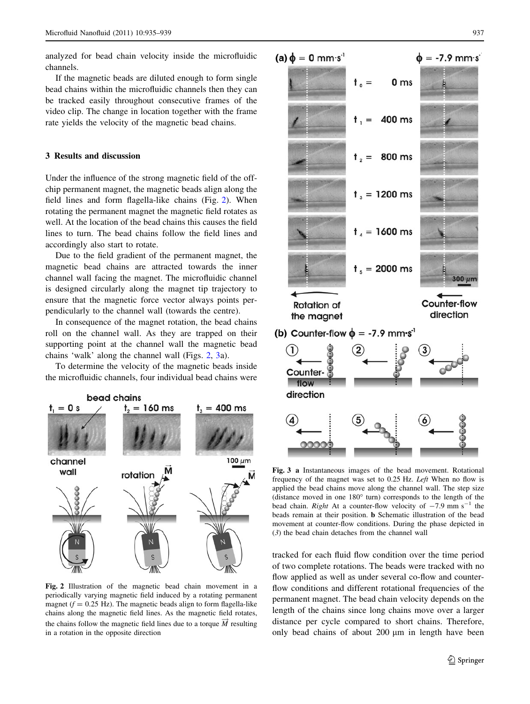<span id="page-2-0"></span>analyzed for bead chain velocity inside the microfluidic channels.

If the magnetic beads are diluted enough to form single bead chains within the microfluidic channels then they can be tracked easily throughout consecutive frames of the video clip. The change in location together with the frame rate yields the velocity of the magnetic bead chains.

# 3 Results and discussion

Under the influence of the strong magnetic field of the offchip permanent magnet, the magnetic beads align along the field lines and form flagella-like chains (Fig. 2). When rotating the permanent magnet the magnetic field rotates as well. At the location of the bead chains this causes the field lines to turn. The bead chains follow the field lines and accordingly also start to rotate.

Due to the field gradient of the permanent magnet, the magnetic bead chains are attracted towards the inner channel wall facing the magnet. The microfluidic channel is designed circularly along the magnet tip trajectory to ensure that the magnetic force vector always points perpendicularly to the channel wall (towards the centre).

In consequence of the magnet rotation, the bead chains roll on the channel wall. As they are trapped on their supporting point at the channel wall the magnetic bead chains 'walk' along the channel wall (Figs. 2, 3a).

To determine the velocity of the magnetic beads inside the microfluidic channels, four individual bead chains were



Fig. 2 Illustration of the magnetic bead chain movement in a periodically varying magnetic field induced by a rotating permanent magnet ( $f = 0.25$  Hz). The magnetic beads align to form flagella-like chains along the magnetic field lines. As the magnetic field rotates, the chains follow the magnetic field lines due to a torque  $\overrightarrow{M}$  resulting in a rotation in the opposite direction



Fig. 3 a Instantaneous images of the bead movement. Rotational frequency of the magnet was set to 0.25 Hz. Left When no flow is applied the bead chains move along the channel wall. The step size (distance moved in one  $180^{\circ}$  turn) corresponds to the length of the bead chain. Right At a counter-flow velocity of  $-7.9$  mm s<sup>-1</sup> the beads remain at their position. b Schematic illustration of the bead movement at counter-flow conditions. During the phase depicted in (3) the bead chain detaches from the channel wall

tracked for each fluid flow condition over the time period of two complete rotations. The beads were tracked with no flow applied as well as under several co-flow and counterflow conditions and different rotational frequencies of the permanent magnet. The bead chain velocity depends on the length of the chains since long chains move over a larger distance per cycle compared to short chains. Therefore, only bead chains of about  $200 \mu m$  in length have been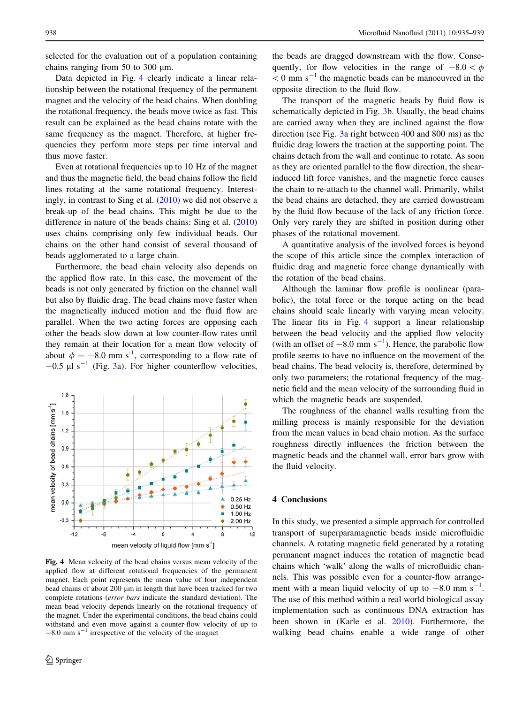selected for the evaluation out of a population containing chains ranging from 50 to 300  $\mu$ m.

Data depicted in Fig. 4 clearly indicate a linear relationship between the rotational frequency of the permanent magnet and the velocity of the bead chains. When doubling the rotational frequency, the beads move twice as fast. This result can be explained as the bead chains rotate with the same frequency as the magnet. Therefore, at higher frequencies they perform more steps per time interval and thus move faster.

Even at rotational frequencies up to 10 Hz of the magnet and thus the magnetic field, the bead chains follow the field lines rotating at the same rotational frequency. Interestingly, in contrast to Sing et al. [\(2010](#page-4-0)) we did not observe a break-up of the bead chains. This might be due to the difference in nature of the beads chains: Sing et al. ([2010\)](#page-4-0) uses chains comprising only few individual beads. Our chains on the other hand consist of several thousand of beads agglomerated to a large chain.

Furthermore, the bead chain velocity also depends on the applied flow rate. In this case, the movement of the beads is not only generated by friction on the channel wall but also by fluidic drag. The bead chains move faster when the magnetically induced motion and the fluid flow are parallel. When the two acting forces are opposing each other the beads slow down at low counter-flow rates until they remain at their location for a mean flow velocity of about  $\phi = -8.0$  mm s<sup>-1</sup>, corresponding to a flow rate of  $-0.5$  µl s<sup>-1</sup> (Fig. [3a](#page-2-0)). For higher counterflow velocities,



Fig. 4 Mean velocity of the bead chains versus mean velocity of the applied flow at different rotational frequencies of the permanent magnet. Each point represents the mean value of four independent bead chains of about 200 μm in length that have been tracked for two complete rotations (error bars indicate the standard deviation). The mean bead velocity depends linearly on the rotational frequency of the magnet. Under the experimental conditions, the bead chains could withstand and even move against a counter-flow velocity of up to  $-8.0$  mm s<sup>-1</sup> irrespective of the velocity of the magnet

the beads are dragged downstream with the flow. Consequently, for flow velocities in the range of  $-8.0 < \phi$  $<$  0 mm s<sup>-1</sup> the magnetic beads can be manoeuvred in the opposite direction to the fluid flow.

The transport of the magnetic beads by fluid flow is schematically depicted in Fig. [3](#page-2-0)b. Usually, the bead chains are carried away when they are inclined against the flow direction (see Fig. [3a](#page-2-0) right between 400 and 800 ms) as the fluidic drag lowers the traction at the supporting point. The chains detach from the wall and continue to rotate. As soon as they are oriented parallel to the flow direction, the shearinduced lift force vanishes, and the magnetic force causes the chain to re-attach to the channel wall. Primarily, whilst the bead chains are detached, they are carried downstream by the fluid flow because of the lack of any friction force. Only very rarely they are shifted in position during other phases of the rotational movement.

A quantitative analysis of the involved forces is beyond the scope of this article since the complex interaction of fluidic drag and magnetic force change dynamically with the rotation of the bead chains.

Although the laminar flow profile is nonlinear (parabolic), the total force or the torque acting on the bead chains should scale linearly with varying mean velocity. The linear fits in Fig. 4 support a linear relationship between the bead velocity and the applied flow velocity (with an offset of  $-8.0$  mm s<sup>-1</sup>). Hence, the parabolic flow profile seems to have no influence on the movement of the bead chains. The bead velocity is, therefore, determined by only two parameters; the rotational frequency of the magnetic field and the mean velocity of the surrounding fluid in which the magnetic beads are suspended.

The roughness of the channel walls resulting from the milling process is mainly responsible for the deviation from the mean values in bead chain motion. As the surface roughness directly influences the friction between the magnetic beads and the channel wall, error bars grow with the fluid velocity.

## 4 Conclusions

In this study, we presented a simple approach for controlled transport of superparamagnetic beads inside microfluidic channels. A rotating magnetic field generated by a rotating permanent magnet induces the rotation of magnetic bead chains which 'walk' along the walls of microfluidic channels. This was possible even for a counter-flow arrangement with a mean liquid velocity of up to  $-8.0$  mm s<sup>-1</sup>. The use of this method within a real world biological assay implementation such as continuous DNA extraction has been shown in (Karle et al. [2010\)](#page-4-0). Furthermore, the walking bead chains enable a wide range of other